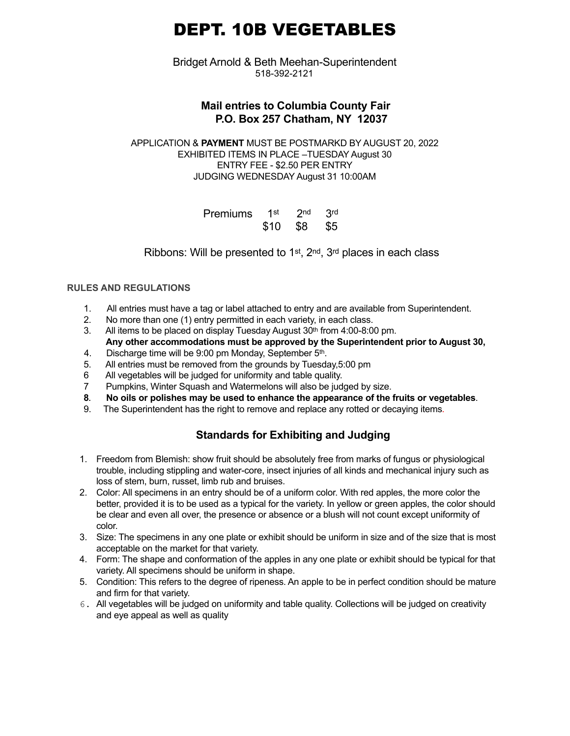# DEPT. 10B VEGETABLES

Bridget Arnold & Beth Meehan-Superintendent 518-392-2121

## **Mail entries to Columbia County Fair P.O. Box 257 Chatham, NY 12037**

APPLICATION & **PAYMENT** MUST BE POSTMARKD BY AUGUST 20, 2022 EXHIBITED ITEMS IN PLACE –TUESDAY August 30 ENTRY FEE - \$2.50 PER ENTRY JUDGING WEDNESDAY August 31 10:00AM

| Premiums 1st 2nd 3rd |              |  |
|----------------------|--------------|--|
|                      | \$10 \$8 \$5 |  |

Ribbons: Will be presented to 1st, 2nd, 3rd places in each class

## **RULES AND REGULATIONS**

- 1. All entries must have a tag or label attached to entry and are available from Superintendent.
- 2. No more than one (1) entry permitted in each variety, in each class.
- 3. All items to be placed on display Tuesday August  $30<sup>th</sup>$  from 4:00-8:00 pm. **Any other accommodations must be approved by the Superintendent prior to August 30,**
- 4. Discharge time will be 9:00 pm Monday, September 5<sup>th</sup>.
- 5. All entries must be removed from the grounds by Tuesday,5:00 pm
- 6 All vegetables will be judged for uniformity and table quality.
- 7 Pumpkins, Winter Squash and Watermelons will also be judged by size.
- **8. No oils or polishes may be used to enhance the appearance of the fruits or vegetables**.
- 9. The Superintendent has the right to remove and replace any rotted or decaying items.

# **Standards for Exhibiting and Judging**

- 1. Freedom from Blemish: show fruit should be absolutely free from marks of fungus or physiological trouble, including stippling and water-core, insect injuries of all kinds and mechanical injury such as loss of stem, burn, russet, limb rub and bruises.
- 2. Color: All specimens in an entry should be of a uniform color. With red apples, the more color the better, provided it is to be used as a typical for the variety. In yellow or green apples, the color should be clear and even all over, the presence or absence or a blush will not count except uniformity of color.
- 3. Size: The specimens in any one plate or exhibit should be uniform in size and of the size that is most acceptable on the market for that variety.
- 4. Form: The shape and conformation of the apples in any one plate or exhibit should be typical for that variety. All specimens should be uniform in shape.
- 5. Condition: This refers to the degree of ripeness. An apple to be in perfect condition should be mature and firm for that variety.
- 6. All vegetables will be judged on uniformity and table quality. Collections will be judged on creativity and eye appeal as well as quality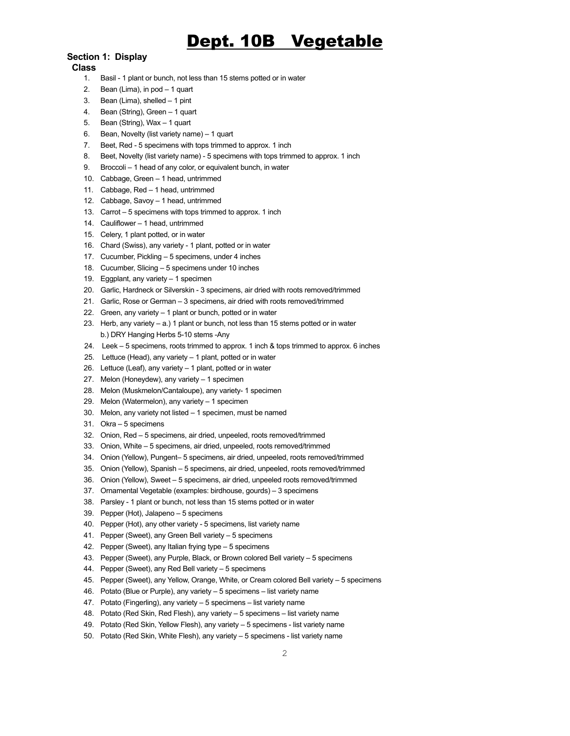# Dept. 10B Vegetable

### **Section 1: Display**

#### **Class**

- 1. Basil 1 plant or bunch, not less than 15 stems potted or in water
- 2. Bean (Lima), in pod 1 quart
- 3. Bean (Lima), shelled 1 pint
- 4. Bean (String), Green 1 quart
- 5. Bean (String), Wax 1 quart
- 6. Bean, Novelty (list variety name) 1 quart
- 7. Beet, Red 5 specimens with tops trimmed to approx. 1 inch
- 8. Beet, Novelty (list variety name) 5 specimens with tops trimmed to approx. 1 inch
- 9. Broccoli 1 head of any color, or equivalent bunch, in water
- 10. Cabbage, Green 1 head, untrimmed
- 11. Cabbage, Red 1 head, untrimmed
- 12. Cabbage, Savoy 1 head, untrimmed
- 13. Carrot 5 specimens with tops trimmed to approx. 1 inch
- 14. Cauliflower 1 head, untrimmed
- 15. Celery, 1 plant potted, or in water
- 16. Chard (Swiss), any variety 1 plant, potted or in water
- 17. Cucumber, Pickling 5 specimens, under 4 inches
- 18. Cucumber, Slicing 5 specimens under 10 inches
- 19. Eggplant, any variety 1 specimen
- 20. Garlic, Hardneck or Silverskin 3 specimens, air dried with roots removed/trimmed
- 21. Garlic, Rose or German 3 specimens, air dried with roots removed/trimmed
- 22. Green, any variety 1 plant or bunch, potted or in water
- 23. Herb, any variety a.) 1 plant or bunch, not less than 15 stems potted or in water b.) DRY Hanging Herbs 5-10 stems -Any
- 24. Leek 5 specimens, roots trimmed to approx. 1 inch & tops trimmed to approx. 6 inches
- 25. Lettuce (Head), any variety 1 plant, potted or in water
- 26. Lettuce (Leaf), any variety 1 plant, potted or in water
- 27. Melon (Honeydew), any variety 1 specimen
- 28. Melon (Muskmelon/Cantaloupe), any variety- 1 specimen
- 29. Melon (Watermelon), any variety 1 specimen
- 30. Melon, any variety not listed 1 specimen, must be named
- 31. Okra 5 specimens
- 32. Onion, Red 5 specimens, air dried, unpeeled, roots removed/trimmed
- 33. Onion, White 5 specimens, air dried, unpeeled, roots removed/trimmed
- 34. Onion (Yellow), Pungent– 5 specimens, air dried, unpeeled, roots removed/trimmed
- 35. Onion (Yellow), Spanish 5 specimens, air dried, unpeeled, roots removed/trimmed
- 36. Onion (Yellow), Sweet 5 specimens, air dried, unpeeled roots removed/trimmed
- 37. Ornamental Vegetable (examples: birdhouse, gourds) 3 specimens
- 38. Parsley 1 plant or bunch, not less than 15 stems potted or in water
- 39. Pepper (Hot), Jalapeno 5 specimens
- 40. Pepper (Hot), any other variety 5 specimens, list variety name
- 41. Pepper (Sweet), any Green Bell variety 5 specimens
- 42. Pepper (Sweet), any Italian frying type 5 specimens
- 43. Pepper (Sweet), any Purple, Black, or Brown colored Bell variety 5 specimens
- 44. Pepper (Sweet), any Red Bell variety 5 specimens
- 45. Pepper (Sweet), any Yellow, Orange, White, or Cream colored Bell variety 5 specimens
- 46. Potato (Blue or Purple), any variety 5 specimens list variety name
- 47. Potato (Fingerling), any variety 5 specimens list variety name
- 48. Potato (Red Skin, Red Flesh), any variety 5 specimens list variety name
- 49. Potato (Red Skin, Yellow Flesh), any variety 5 specimens list variety name
- 50. Potato (Red Skin, White Flesh), any variety 5 specimens list variety name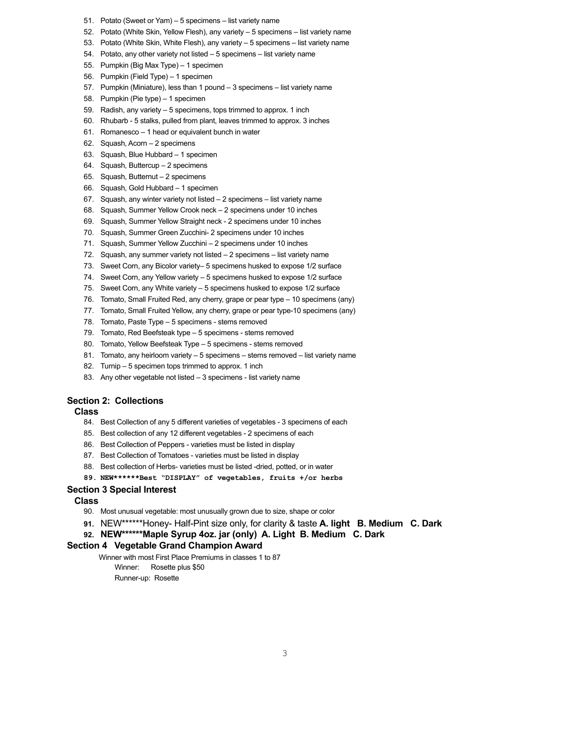- 51. Potato (Sweet or Yam) 5 specimens list variety name
- 52. Potato (White Skin, Yellow Flesh), any variety 5 specimens list variety name
- 53. Potato (White Skin, White Flesh), any variety 5 specimens list variety name
- 54. Potato, any other variety not listed 5 specimens list variety name
- 55. Pumpkin (Big Max Type) 1 specimen
- 56. Pumpkin (Field Type) 1 specimen
- 57. Pumpkin (Miniature), less than 1 pound 3 specimens list variety name
- 58. Pumpkin (Pie type) 1 specimen
- 59. Radish, any variety 5 specimens, tops trimmed to approx. 1 inch
- 60. Rhubarb 5 stalks, pulled from plant, leaves trimmed to approx. 3 inches
- 61. Romanesco 1 head or equivalent bunch in water
- 62. Squash, Acorn 2 specimens
- 63. Squash, Blue Hubbard 1 specimen
- 64. Squash, Buttercup 2 specimens
- 65. Squash, Butternut 2 specimens
- 66. Squash, Gold Hubbard 1 specimen
- 67. Squash, any winter variety not listed 2 specimens list variety name
- 68. Squash, Summer Yellow Crook neck 2 specimens under 10 inches
- 69. Squash, Summer Yellow Straight neck 2 specimens under 10 inches
- 70. Squash, Summer Green Zucchini- 2 specimens under 10 inches
- 71. Squash, Summer Yellow Zucchini 2 specimens under 10 inches
- 72. Squash, any summer variety not listed 2 specimens list variety name
- 73. Sweet Corn, any Bicolor variety– 5 specimens husked to expose 1/2 surface
- 74. Sweet Corn, any Yellow variety 5 specimens husked to expose 1/2 surface
- 75. Sweet Corn, any White variety 5 specimens husked to expose 1/2 surface
- 76. Tomato, Small Fruited Red, any cherry, grape or pear type 10 specimens (any)
- 77. Tomato, Small Fruited Yellow, any cherry, grape or pear type-10 specimens (any)
- 78. Tomato, Paste Type 5 specimens stems removed
- 79. Tomato, Red Beefsteak type 5 specimens stems removed
- 80. Tomato, Yellow Beefsteak Type 5 specimens stems removed
- 81. Tomato, any heirloom variety 5 specimens stems removed list variety name
- 82. Turnip 5 specimen tops trimmed to approx. 1 inch
- 83. Any other vegetable not listed 3 specimens list variety name

#### **Section 2: Collections**

#### **Class**

- 84. Best Collection of any 5 different varieties of vegetables 3 specimens of each
- 85. Best collection of any 12 different vegetables 2 specimens of each
- 86. Best Collection of Peppers varieties must be listed in display
- 87. Best Collection of Tomatoes varieties must be listed in display
- 88. Best collection of Herbs- varieties must be listed -dried, potted, or in water
- **89. NEW\*\*\*\*\*\*Best "DISPLAY" of vegetables, fruits +/or herbs**

#### **Section 3 Special Interest**

#### **Class**

- 90. Most unusual vegetable: most unusually grown due to size, shape or color
- **91.** NEW\*\*\*\*\*\*Honey- Half-Pint size only, for clarity & taste **A. light B. Medium C. Dark**

## **92. NEW\*\*\*\*\*\*Maple Syrup 4oz. jar (only) A. Light B. Medium C. Dark**

#### **Section 4 Vegetable Grand Champion Award**

Winner with most First Place Premiums in classes 1 to 87

- Winner: Rosette plus \$50
- Runner-up: Rosette